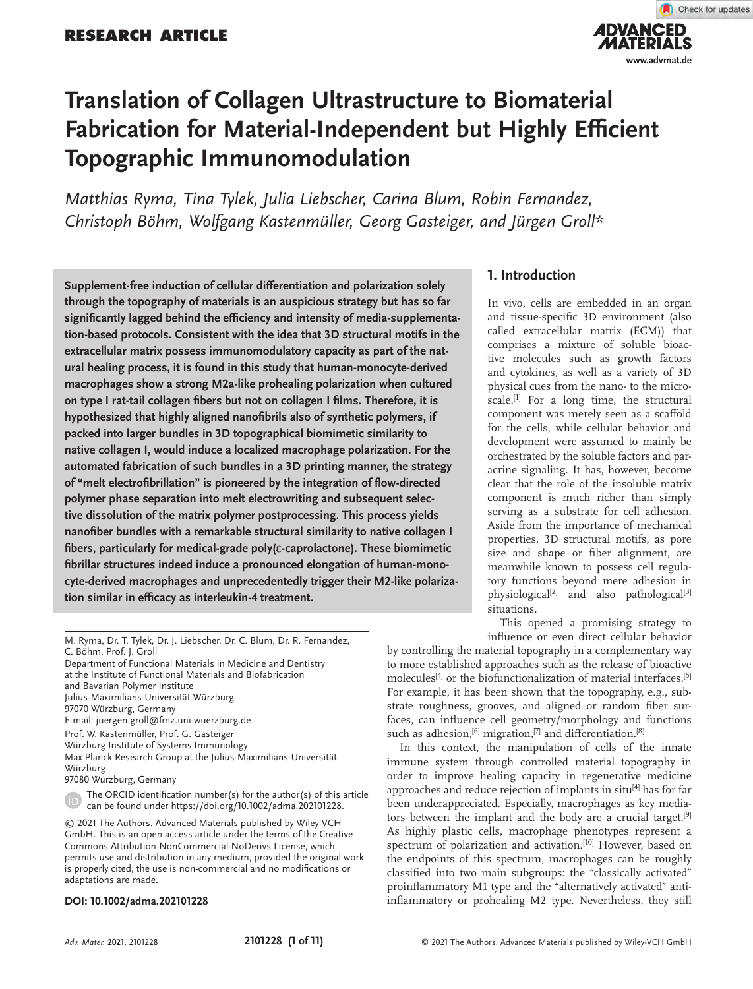

# **Translation of Collagen Ultrastructure to Biomaterial Fabrication for Material-Independent but Highly Efficient Topographic Immunomodulation**

*Matthias Ryma, Tina Tylek, Julia Liebscher, Carina Blum, Robin Fernandez, Christoph Böhm, Wolfgang Kastenmüller, Georg Gasteiger, and Jürgen Groll\**

**Supplement-free induction of cellular differentiation and polarization solely through the topography of materials is an auspicious strategy but has so far significantly lagged behind the efficiency and intensity of media-supplementation-based protocols. Consistent with the idea that 3D structural motifs in the extracellular matrix possess immunomodulatory capacity as part of the natural healing process, it is found in this study that human-monocyte-derived macrophages show a strong M2a-like prohealing polarization when cultured on type I rat-tail collagen fibers but not on collagen I films. Therefore, it is hypothesized that highly aligned nanofibrils also of synthetic polymers, if packed into larger bundles in 3D topographical biomimetic similarity to native collagen I, would induce a localized macrophage polarization. For the automated fabrication of such bundles in a 3D printing manner, the strategy of "melt electrofibrillation" is pioneered by the integration of flow-directed polymer phase separation into melt electrowriting and subsequent selective dissolution of the matrix polymer postprocessing. This process yields nanofiber bundles with a remarkable structural similarity to native collagen I fibers, particularly for medical-grade poly(**ε**-caprolactone). These biomimetic fibrillar structures indeed induce a pronounced elongation of human-monocyte-derived macrophages and unprecedentedly trigger their M2-like polarization similar in efficacy as interleukin-4 treatment.**

Max Planck Research Group at the Julius-Maximilians-Universität Würzburg

97080 Würzburg, Germany

#### **DOI: 10.1002/adma.202101228**

# **1. Introduction**

In vivo, cells are embedded in an organ and tissue-specific 3D environment (also called extracellular matrix (ECM)) that comprises a mixture of soluble bioactive molecules such as growth factors and cytokines, as well as a variety of 3D physical cues from the nano- to the microscale.<sup>[1]</sup> For a long time, the structural component was merely seen as a scaffold for the cells, while cellular behavior and development were assumed to mainly be orchestrated by the soluble factors and paracrine signaling. It has, however, become clear that the role of the insoluble matrix component is much richer than simply serving as a substrate for cell adhesion. Aside from the importance of mechanical properties, 3D structural motifs, as pore size and shape or fiber alignment, are meanwhile known to possess cell regulatory functions beyond mere adhesion in physiological<sup>[2]</sup> and also pathological<sup>[3]</sup> situations.

This opened a promising strategy to

influence or even direct cellular behavior by controlling the material topography in a complementary way to more established approaches such as the release of bioactive molecules<sup>[4]</sup> or the biofunctionalization of material interfaces.<sup>[5]</sup> For example, it has been shown that the topography, e.g., substrate roughness, grooves, and aligned or random fiber surfaces, can influence cell geometry/morphology and functions such as adhesion,<sup>[6]</sup> migration,<sup>[7]</sup> and differentiation.<sup>[8]</sup>

In this context, the manipulation of cells of the innate immune system through controlled material topography in order to improve healing capacity in regenerative medicine approaches and reduce rejection of implants in situ<sup>[4]</sup> has for far been underappreciated. Especially, macrophages as key mediators between the implant and the body are a crucial target.[9] As highly plastic cells, macrophage phenotypes represent a spectrum of polarization and activation.[10] However, based on the endpoints of this spectrum, macrophages can be roughly classified into two main subgroups: the "classically activated" proinflammatory M1 type and the "alternatively activated" antiinflammatory or prohealing M2 type. Nevertheless, they still

M. Ryma, Dr. T. Tylek, Dr. J. Liebscher, Dr. C. Blum, Dr. R. Fernandez, C. Böhm, Prof. J. Groll

Department of Functional Materials in Medicine and Dentistry at the Institute of Functional Materials and Biofabrication and Bavarian Polymer Institute

Julius-Maximilians-Universität Würzburg

<sup>97070</sup> Würzburg, Germany

E-mail: juergen.groll@fmz.uni-wuerzburg.de

Prof. W. Kastenmüller, Prof. G. Gasteiger

Würzburg Institute of Systems Immunology

The ORCID identification number(s) for the author(s) of this article can be found under https://doi.org/10.1002/adma.202101228.

<sup>© 2021</sup> The Authors. Advanced Materials published by Wiley-VCH GmbH. This is an open access article under the terms of the Creative Commons Attribution-NonCommercial-NoDerivs License, which permits use and distribution in any medium, provided the original work is properly cited, the use is non-commercial and no modifications or adaptations are made.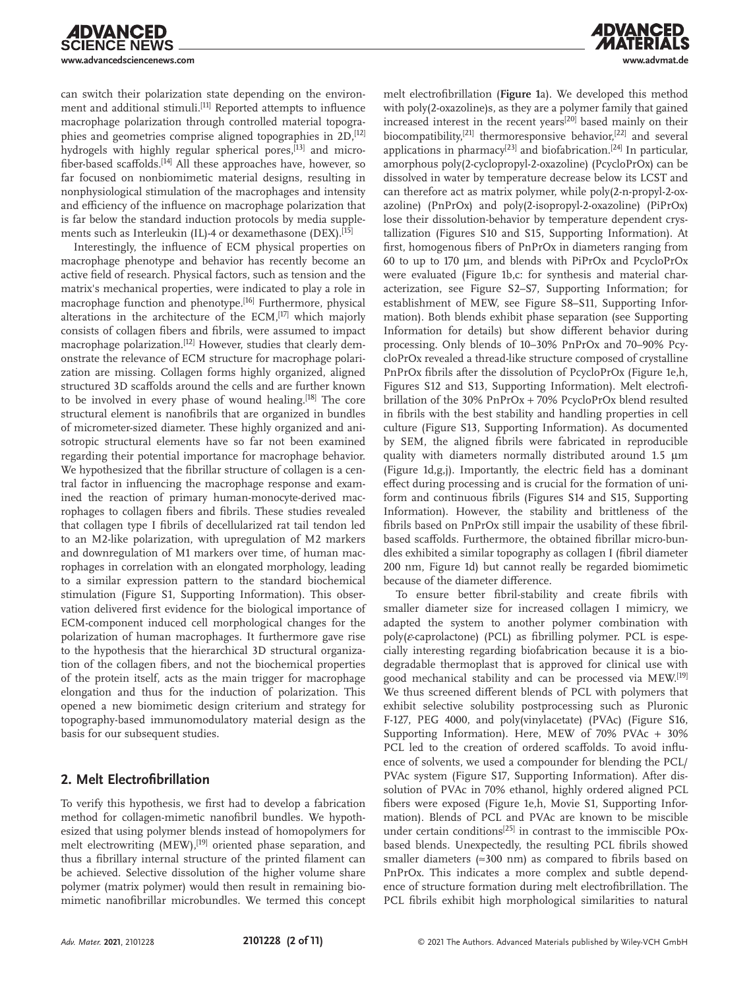

can switch their polarization state depending on the environment and additional stimuli.[11] Reported attempts to influence macrophage polarization through controlled material topographies and geometries comprise aligned topographies in 2D,[12] hydrogels with highly regular spherical pores,<sup>[13]</sup> and microfiber-based scaffolds.[14] All these approaches have, however, so far focused on nonbiomimetic material designs, resulting in nonphysiological stimulation of the macrophages and intensity and efficiency of the influence on macrophage polarization that is far below the standard induction protocols by media supplements such as Interleukin (IL)-4 or dexamethasone (DEX).<sup>[15]</sup>

Interestingly, the influence of ECM physical properties on macrophage phenotype and behavior has recently become an active field of research. Physical factors, such as tension and the matrix's mechanical properties, were indicated to play a role in macrophage function and phenotype.[16] Furthermore, physical alterations in the architecture of the ECM,<sup>[17]</sup> which majorly consists of collagen fibers and fibrils, were assumed to impact macrophage polarization.[12] However, studies that clearly demonstrate the relevance of ECM structure for macrophage polarization are missing. Collagen forms highly organized, aligned structured 3D scaffolds around the cells and are further known to be involved in every phase of wound healing.<sup>[18]</sup> The core structural element is nanofibrils that are organized in bundles of micrometer-sized diameter. These highly organized and anisotropic structural elements have so far not been examined regarding their potential importance for macrophage behavior. We hypothesized that the fibrillar structure of collagen is a central factor in influencing the macrophage response and examined the reaction of primary human-monocyte-derived macrophages to collagen fibers and fibrils. These studies revealed that collagen type I fibrils of decellularized rat tail tendon led to an M2-like polarization, with upregulation of M2 markers and downregulation of M1 markers over time, of human macrophages in correlation with an elongated morphology, leading to a similar expression pattern to the standard biochemical stimulation (Figure S1, Supporting Information). This observation delivered first evidence for the biological importance of ECM-component induced cell morphological changes for the polarization of human macrophages. It furthermore gave rise to the hypothesis that the hierarchical 3D structural organization of the collagen fibers, and not the biochemical properties of the protein itself, acts as the main trigger for macrophage elongation and thus for the induction of polarization. This opened a new biomimetic design criterium and strategy for topography-based immunomodulatory material design as the basis for our subsequent studies.

# **2. Melt Electrofibrillation**

To verify this hypothesis, we first had to develop a fabrication method for collagen-mimetic nanofibril bundles. We hypothesized that using polymer blends instead of homopolymers for melt electrowriting (MEW),<sup>[19]</sup> oriented phase separation, and thus a fibrillary internal structure of the printed filament can be achieved. Selective dissolution of the higher volume share polymer (matrix polymer) would then result in remaining biomimetic nanofibrillar microbundles. We termed this concept melt electrofibrillation (**Figure 1**a). We developed this method with poly(2-oxazoline)s, as they are a polymer family that gained increased interest in the recent years[20] based mainly on their biocompatibility,<sup>[21]</sup> thermoresponsive behavior,<sup>[22]</sup> and several applications in pharmacy<sup>[23]</sup> and biofabrication.<sup>[24]</sup> In particular, amorphous poly(2-cyclopropyl-2-oxazoline) (PcycloPrOx) can be dissolved in water by temperature decrease below its LCST and can therefore act as matrix polymer, while poly(2-n-propyl-2-oxazoline) (PnPrOx) and poly(2-isopropyl-2-oxazoline) (PiPrOx) lose their dissolution-behavior by temperature dependent crystallization (Figures S10 and S15, Supporting Information). At first, homogenous fibers of PnPrOx in diameters ranging from 60 to up to 170 µm, and blends with PiPrOx and PcycloPrOx were evaluated (Figure 1b,c: for synthesis and material characterization, see Figure S2–S7, Supporting Information; for establishment of MEW, see Figure S8–S11, Supporting Information). Both blends exhibit phase separation (see Supporting Information for details) but show different behavior during processing. Only blends of 10–30% PnPrOx and 70–90% PcycloPrOx revealed a thread-like structure composed of crystalline PnPrOx fibrils after the dissolution of PcycloPrOx (Figure 1e,h, Figures S12 and S13, Supporting Information). Melt electrofibrillation of the 30% PnPrOx + 70% PcycloPrOx blend resulted in fibrils with the best stability and handling properties in cell culture (Figure S13, Supporting Information). As documented by SEM, the aligned fibrils were fabricated in reproducible quality with diameters normally distributed around 1.5  $\mu$ m (Figure 1d,g,j). Importantly, the electric field has a dominant effect during processing and is crucial for the formation of uniform and continuous fibrils (Figures S14 and S15, Supporting Information). However, the stability and brittleness of the fibrils based on PnPrOx still impair the usability of these fibrilbased scaffolds. Furthermore, the obtained fibrillar micro-bundles exhibited a similar topography as collagen I (fibril diameter 200 nm, Figure 1d) but cannot really be regarded biomimetic because of the diameter difference.

To ensure better fibril-stability and create fibrils with smaller diameter size for increased collagen I mimicry, we adapted the system to another polymer combination with poly(*ε*-caprolactone) (PCL) as fibrilling polymer. PCL is especially interesting regarding biofabrication because it is a biodegradable thermoplast that is approved for clinical use with good mechanical stability and can be processed via MEW.[19] We thus screened different blends of PCL with polymers that exhibit selective solubility postprocessing such as Pluronic F-127, PEG 4000, and poly(vinylacetate) (PVAc) (Figure S16, Supporting Information). Here, MEW of 70% PVAc + 30% PCL led to the creation of ordered scaffolds. To avoid influence of solvents, we used a compounder for blending the PCL/ PVAc system (Figure S17, Supporting Information). After dissolution of PVAc in 70% ethanol, highly ordered aligned PCL fibers were exposed (Figure 1e,h, Movie S1, Supporting Information). Blends of PCL and PVAc are known to be miscible under certain conditions<sup>[25]</sup> in contrast to the immiscible POxbased blends. Unexpectedly, the resulting PCL fibrils showed smaller diameters ( $\approx$ 300 nm) as compared to fibrils based on PnPrOx. This indicates a more complex and subtle dependence of structure formation during melt electrofibrillation. The PCL fibrils exhibit high morphological similarities to natural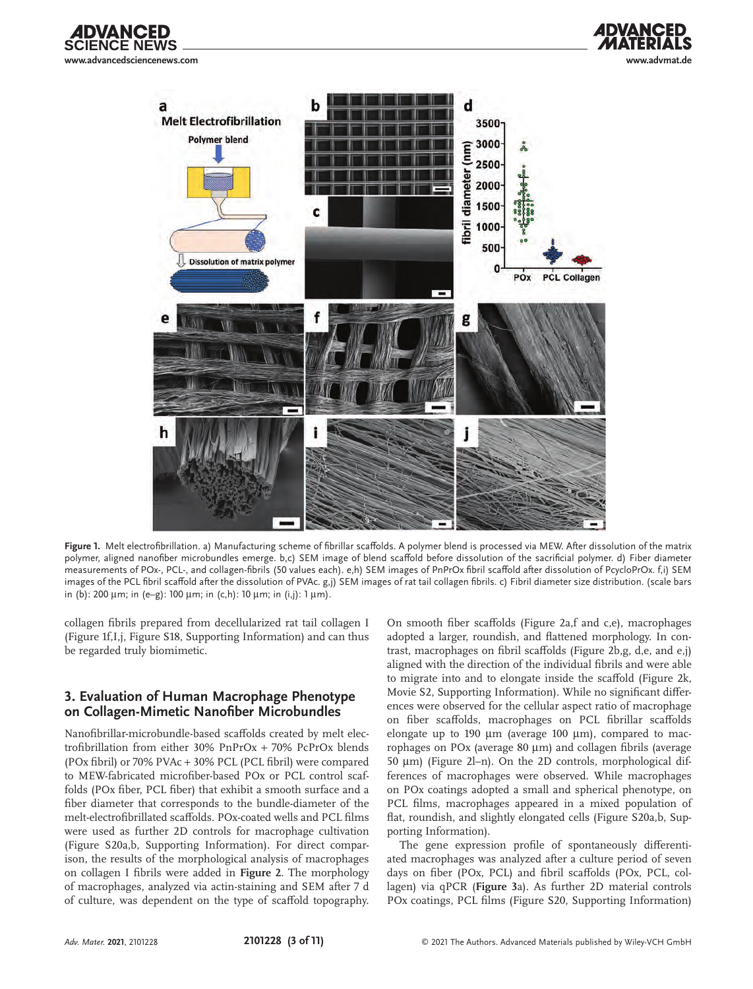



**Figure 1.** Melt electrofibrillation. a) Manufacturing scheme of fibrillar scaffolds. A polymer blend is processed via MEW. After dissolution of the matrix polymer, aligned nanofiber microbundles emerge. b,c) SEM image of blend scaffold before dissolution of the sacrificial polymer. d) Fiber diameter measurements of POx-, PCL-, and collagen-fibrils (50 values each). e,h) SEM images of PnPrOx fibril scaffold after dissolution of PcycloPrOx. f,i) SEM images of the PCL fibril scaffold after the dissolution of PVAc. g,j) SEM images of rat tail collagen fibrils. c) Fibril diameter size distribution. (scale bars in (b): 200  $\mu$ m; in (e–g): 100  $\mu$ m; in (c,h): 10  $\mu$ m; in (i,j): 1  $\mu$ m).

collagen fibrils prepared from decellularized rat tail collagen I (Figure 1f,I,j, Figure S18, Supporting Information) and can thus be regarded truly biomimetic.

## **3. Evaluation of Human Macrophage Phenotype on Collagen-Mimetic Nanofiber Microbundles**

Nanofibrillar-microbundle-based scaffolds created by melt electrofibrillation from either 30% PnPrOx + 70% PcPrOx blends (POx fibril) or 70% PVAc + 30% PCL (PCL fibril) were compared to MEW-fabricated microfiber-based POx or PCL control scaffolds (POx fiber, PCL fiber) that exhibit a smooth surface and a fiber diameter that corresponds to the bundle-diameter of the melt-electrofibrillated scaffolds. POx-coated wells and PCL films were used as further 2D controls for macrophage cultivation (Figure S20a,b, Supporting Information). For direct comparison, the results of the morphological analysis of macrophages on collagen I fibrils were added in **Figure 2**. The morphology of macrophages, analyzed via actin-staining and SEM after 7 d of culture, was dependent on the type of scaffold topography.

On smooth fiber scaffolds (Figure 2a,f and c,e), macrophages adopted a larger, roundish, and flattened morphology. In contrast, macrophages on fibril scaffolds (Figure 2b,g, d,e, and e,j) aligned with the direction of the individual fibrils and were able to migrate into and to elongate inside the scaffold (Figure 2k, Movie S2, Supporting Information). While no significant differences were observed for the cellular aspect ratio of macrophage on fiber scaffolds, macrophages on PCL fibrillar scaffolds elongate up to 190  $\mu$ m (average 100  $\mu$ m), compared to macrophages on POx (average 80 µm) and collagen fibrils (average 50  $\mu$ m) (Figure 2l-n). On the 2D controls, morphological differences of macrophages were observed. While macrophages on POx coatings adopted a small and spherical phenotype, on PCL films, macrophages appeared in a mixed population of flat, roundish, and slightly elongated cells (Figure S20a,b, Supporting Information).

**ADVA** 

The gene expression profile of spontaneously differentiated macrophages was analyzed after a culture period of seven days on fiber (POx, PCL) and fibril scaffolds (POx, PCL, collagen) via qPCR (**Figure 3**a). As further 2D material controls POx coatings, PCL films (Figure S20, Supporting Information)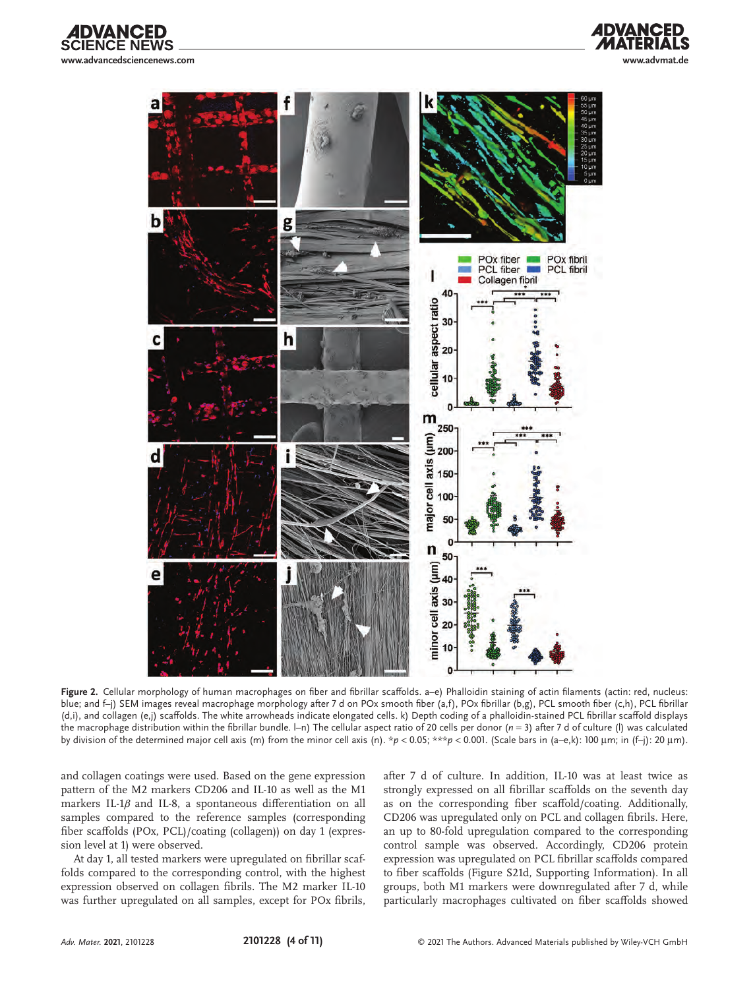





**Figure 2.** Cellular morphology of human macrophages on fiber and fibrillar scaffolds. a–e) Phalloidin staining of actin filaments (actin: red, nucleus: blue; and f-j) SEM images reveal macrophage morphology after 7 d on POx smooth fiber (a,f), POx fibrillar (b,g), PCL smooth fiber (c,h), PCL fibrillar (d,i), and collagen (e,j) scaffolds. The white arrowheads indicate elongated cells. k) Depth coding of a phalloidin-stained PCL fibrillar scaffold displays the macrophage distribution within the fibrillar bundle. l–n) The cellular aspect ratio of 20 cells per donor (*n* = 3) after 7 d of culture (l) was calculated by division of the determined major cell axis (m) from the minor cell axis (n). \**p* < 0.05; \*\*\**p* < 0.001. (Scale bars in (a–e,k): 100 µm; in (f–j): 20 µm).

and collagen coatings were used. Based on the gene expression pattern of the M2 markers CD206 and IL-10 as well as the M1 markers IL-1*β* and IL-8, a spontaneous differentiation on all samples compared to the reference samples (corresponding fiber scaffolds (POx, PCL)/coating (collagen)) on day 1 (expression level at 1) were observed.

At day 1, all tested markers were upregulated on fibrillar scaffolds compared to the corresponding control, with the highest expression observed on collagen fibrils. The M2 marker IL-10 was further upregulated on all samples, except for POx fibrils, after 7 d of culture. In addition, IL-10 was at least twice as strongly expressed on all fibrillar scaffolds on the seventh day as on the corresponding fiber scaffold/coating. Additionally, CD206 was upregulated only on PCL and collagen fibrils. Here, an up to 80-fold upregulation compared to the corresponding control sample was observed. Accordingly, CD206 protein expression was upregulated on PCL fibrillar scaffolds compared to fiber scaffolds (Figure S21d, Supporting Information). In all groups, both M1 markers were downregulated after 7 d, while particularly macrophages cultivated on fiber scaffolds showed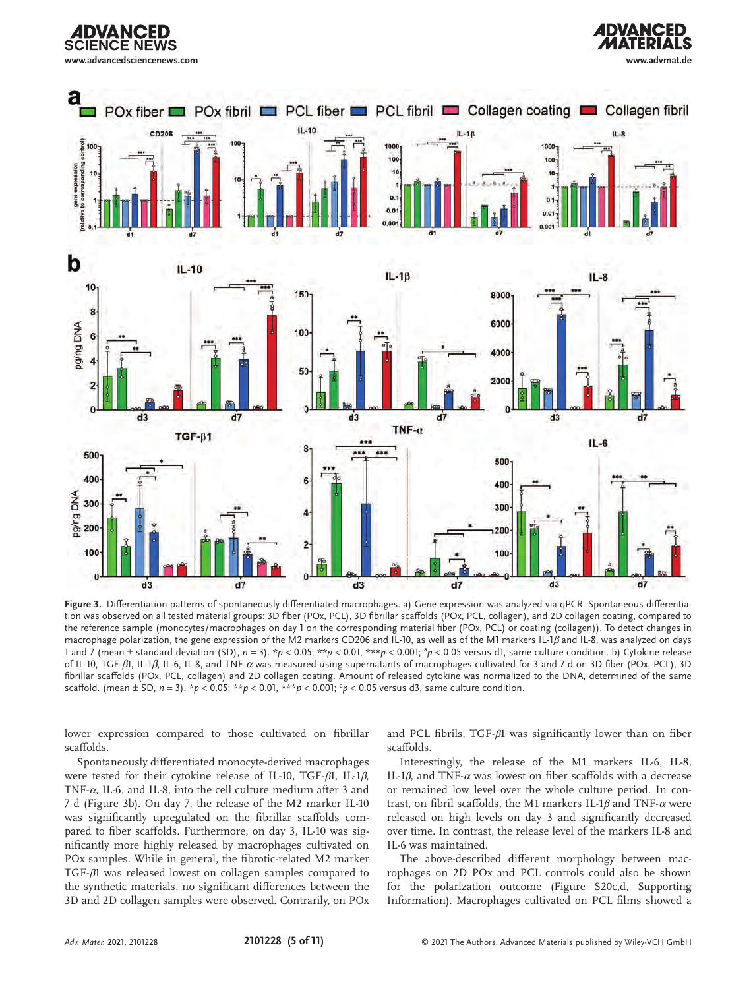



**Figure 3.** Differentiation patterns of spontaneously differentiated macrophages. a) Gene expression was analyzed via qPCR. Spontaneous differentiation was observed on all tested material groups: 3D fiber (POx, PCL), 3D fibrillar scaffolds (POx, PCL, collagen), and 2D collagen coating, compared to the reference sample (monocytes/macrophages on day 1 on the corresponding material fiber (POx, PCL) or coating (collagen)). To detect changes in macrophage polarization, the gene expression of the M2 markers CD206 and IL-10, as well as of the M1 markers IL-1*β* and IL-8, was analyzed on days 1 and 7 (mean ± standard deviation (SD), *n* = 3). \**p* < 0.05; \*\**p* < 0.01, \*\*\**p* < 0.001; <sup>a</sup> *p* < 0.05 versus d1, same culture condition. b) Cytokine release of IL-10, TGF-*β*1, IL-1*β*, IL-6, IL-8, and TNF-*α* was measured using supernatants of macrophages cultivated for 3 and 7 d on 3D fiber (POx, PCL), 3D fibrillar scaffolds (POx, PCL, collagen) and 2D collagen coating. Amount of released cytokine was normalized to the DNA, determined of the same scaffold. (mean  $\pm$  SD,  $n = 3$ ).  $*p < 0.05$ ;  $**p < 0.01$ ,  $***p < 0.001$ ;  $*p < 0.05$  versus d3, same culture condition.

lower expression compared to those cultivated on fibrillar scaffolds.

Spontaneously differentiated monocyte-derived macrophages were tested for their cytokine release of IL-10, TGF-*β*1, IL-1*β*, TNF-*α*, IL-6, and IL-8, into the cell culture medium after 3 and 7 d (Figure 3b). On day 7, the release of the M2 marker IL-10 was significantly upregulated on the fibrillar scaffolds compared to fiber scaffolds. Furthermore, on day 3, IL-10 was significantly more highly released by macrophages cultivated on POx samples. While in general, the fibrotic-related M2 marker TGF-*β*1 was released lowest on collagen samples compared to the synthetic materials, no significant differences between the 3D and 2D collagen samples were observed. Contrarily, on POx and PCL fibrils, TGF-*β*1 was significantly lower than on fiber scaffolds.

**ADVANCED** 

Interestingly, the release of the M1 markers IL-6, IL-8, IL-1*β*, and TNF-*α* was lowest on fiber scaffolds with a decrease or remained low level over the whole culture period. In contrast, on fibril scaffolds, the M1 markers IL-1*β* and TNF-*α* were released on high levels on day 3 and significantly decreased over time. In contrast, the release level of the markers IL-8 and IL-6 was maintained.

The above-described different morphology between macrophages on 2D POx and PCL controls could also be shown for the polarization outcome (Figure S20c,d, Supporting Information). Macrophages cultivated on PCL films showed a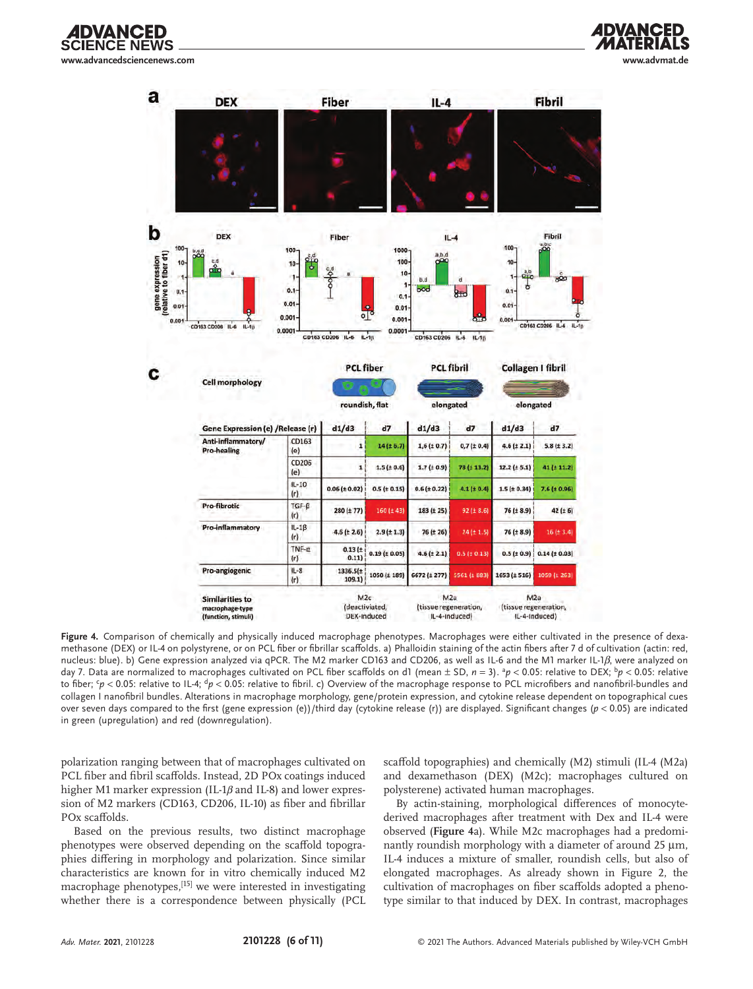





**Figure 4.** Comparison of chemically and physically induced macrophage phenotypes. Macrophages were either cultivated in the presence of dexamethasone (DEX) or IL-4 on polystyrene, or on PCL fiber or fibrillar scaffolds. a) Phalloidin staining of the actin fibers after 7 d of cultivation (actin: red, nucleus: blue). b) Gene expression analyzed via qPCR. The M2 marker CD163 and CD206, as well as IL-6 and the M1 marker IL-1*β*, were analyzed on day 7. Data are normalized to macrophages cultivated on PCL fiber scaffolds on d1 (mean ± SD, *n* = 3). <sup>a</sup>p < 0.05: relative to DEX; <sup>b</sup>p < 0.05: relative to fiber; <sup>c</sup>p < 0.05: relative to IL-4; <sup>d</sup>p < 0.05: relative to fibril. c) Overview of the macrophage response to PCL microfibers and nanofibril-bundles and collagen I nanofibril bundles. Alterations in macrophage morphology, gene/protein expression, and cytokine release dependent on topographical cues over seven days compared to the first (gene expression (e))/third day (cytokine release (r)) are displayed. Significant changes (*p* < 0.05) are indicated in green (upregulation) and red (downregulation).

polarization ranging between that of macrophages cultivated on PCL fiber and fibril scaffolds. Instead, 2D POx coatings induced higher M1 marker expression (IL-1*β* and IL-8) and lower expression of M2 markers (CD163, CD206, IL-10) as fiber and fibrillar POx scaffolds.

Based on the previous results, two distinct macrophage phenotypes were observed depending on the scaffold topographies differing in morphology and polarization. Since similar characteristics are known for in vitro chemically induced M2 macrophage phenotypes,[15] we were interested in investigating whether there is a correspondence between physically (PCL

scaffold topographies) and chemically (M2) stimuli (IL-4 (M2a) and dexamethason (DEX) (M2c); macrophages cultured on polysterene) activated human macrophages.

By actin-staining, morphological differences of monocytederived macrophages after treatment with Dex and IL-4 were observed (**Figure 4**a). While M2c macrophages had a predominantly roundish morphology with a diameter of around 25 µm, IL-4 induces a mixture of smaller, roundish cells, but also of elongated macrophages. As already shown in Figure 2, the cultivation of macrophages on fiber scaffolds adopted a phenotype similar to that induced by DEX. In contrast, macrophages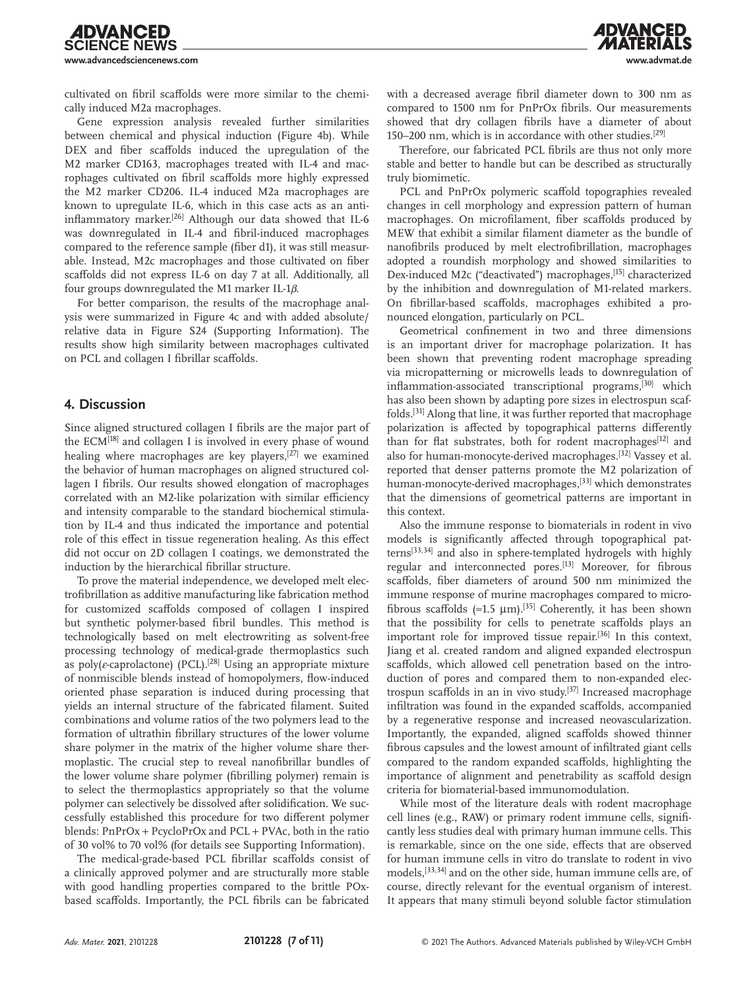cultivated on fibril scaffolds were more similar to the chemically induced M2a macrophages.

Gene expression analysis revealed further similarities between chemical and physical induction (Figure 4b). While DEX and fiber scaffolds induced the upregulation of the M2 marker CD163, macrophages treated with IL-4 and macrophages cultivated on fibril scaffolds more highly expressed the M2 marker CD206. IL-4 induced M2a macrophages are known to upregulate IL-6, which in this case acts as an antiinflammatory marker.[26] Although our data showed that IL-6 was downregulated in IL-4 and fibril-induced macrophages compared to the reference sample (fiber d1), it was still measurable. Instead, M2c macrophages and those cultivated on fiber scaffolds did not express IL-6 on day 7 at all. Additionally, all four groups downregulated the M1 marker IL-1*β*.

For better comparison, the results of the macrophage analysis were summarized in Figure 4c and with added absolute/ relative data in Figure S24 (Supporting Information). The results show high similarity between macrophages cultivated on PCL and collagen I fibrillar scaffolds.

#### **4. Discussion**

**IDVANCED IENCE NEWS** 

Since aligned structured collagen I fibrils are the major part of the  $ECM<sup>[18]</sup>$  and collagen I is involved in every phase of wound healing where macrophages are key players, $[27]$  we examined the behavior of human macrophages on aligned structured collagen I fibrils. Our results showed elongation of macrophages correlated with an M2-like polarization with similar efficiency and intensity comparable to the standard biochemical stimulation by IL-4 and thus indicated the importance and potential role of this effect in tissue regeneration healing. As this effect did not occur on 2D collagen I coatings, we demonstrated the induction by the hierarchical fibrillar structure.

To prove the material independence, we developed melt electrofibrillation as additive manufacturing like fabrication method for customized scaffolds composed of collagen I inspired but synthetic polymer-based fibril bundles. This method is technologically based on melt electrowriting as solvent-free processing technology of medical-grade thermoplastics such as poly(*ε*-caprolactone) (PCL).<sup>[28]</sup> Using an appropriate mixture of nonmiscible blends instead of homopolymers, flow-induced oriented phase separation is induced during processing that yields an internal structure of the fabricated filament. Suited combinations and volume ratios of the two polymers lead to the formation of ultrathin fibrillary structures of the lower volume share polymer in the matrix of the higher volume share thermoplastic. The crucial step to reveal nanofibrillar bundles of the lower volume share polymer (fibrilling polymer) remain is to select the thermoplastics appropriately so that the volume polymer can selectively be dissolved after solidification. We successfully established this procedure for two different polymer blends: PnPrOx + PcycloPrOx and PCL + PVAc, both in the ratio of 30 vol% to 70 vol% (for details see Supporting Information).

The medical-grade-based PCL fibrillar scaffolds consist of a clinically approved polymer and are structurally more stable with good handling properties compared to the brittle POxbased scaffolds. Importantly, the PCL fibrils can be fabricated with a decreased average fibril diameter down to 300 nm as compared to 1500 nm for PnPrOx fibrils. Our measurements showed that dry collagen fibrils have a diameter of about 150–200 nm, which is in accordance with other studies.[29]

Therefore, our fabricated PCL fibrils are thus not only more stable and better to handle but can be described as structurally truly biomimetic.

PCL and PnPrOx polymeric scaffold topographies revealed changes in cell morphology and expression pattern of human macrophages. On microfilament, fiber scaffolds produced by MEW that exhibit a similar filament diameter as the bundle of nanofibrils produced by melt electrofibrillation, macrophages adopted a roundish morphology and showed similarities to Dex-induced M2c ("deactivated") macrophages,<sup>[15]</sup> characterized by the inhibition and downregulation of M1-related markers. On fibrillar-based scaffolds, macrophages exhibited a pronounced elongation, particularly on PCL.

Geometrical confinement in two and three dimensions is an important driver for macrophage polarization. It has been shown that preventing rodent macrophage spreading via micropatterning or microwells leads to downregulation of inflammation-associated transcriptional programs,[30] which has also been shown by adapting pore sizes in electrospun scaffolds.[31] Along that line, it was further reported that macrophage polarization is affected by topographical patterns differently than for flat substrates, both for rodent macrophages<sup>[12]</sup> and also for human-monocyte-derived macrophages.[32] Vassey et al. reported that denser patterns promote the M2 polarization of human-monocyte-derived macrophages,[33] which demonstrates that the dimensions of geometrical patterns are important in this context.

Also the immune response to biomaterials in rodent in vivo models is significantly affected through topographical patterns[33,34] and also in sphere-templated hydrogels with highly regular and interconnected pores.[13] Moreover, for fibrous scaffolds, fiber diameters of around 500 nm minimized the immune response of murine macrophages compared to microfibrous scaffolds (≈1.5  $\mu$ m).<sup>[35]</sup> Coherently, it has been shown that the possibility for cells to penetrate scaffolds plays an important role for improved tissue repair.[36] In this context, Jiang et al. created random and aligned expanded electrospun scaffolds, which allowed cell penetration based on the introduction of pores and compared them to non-expanded electrospun scaffolds in an in vivo study.[37] Increased macrophage infiltration was found in the expanded scaffolds, accompanied by a regenerative response and increased neovascularization. Importantly, the expanded, aligned scaffolds showed thinner fibrous capsules and the lowest amount of infiltrated giant cells compared to the random expanded scaffolds, highlighting the importance of alignment and penetrability as scaffold design criteria for biomaterial-based immunomodulation.

While most of the literature deals with rodent macrophage cell lines (e.g., RAW) or primary rodent immune cells, significantly less studies deal with primary human immune cells. This is remarkable, since on the one side, effects that are observed for human immune cells in vitro do translate to rodent in vivo models,[33,34] and on the other side, human immune cells are, of course, directly relevant for the eventual organism of interest. It appears that many stimuli beyond soluble factor stimulation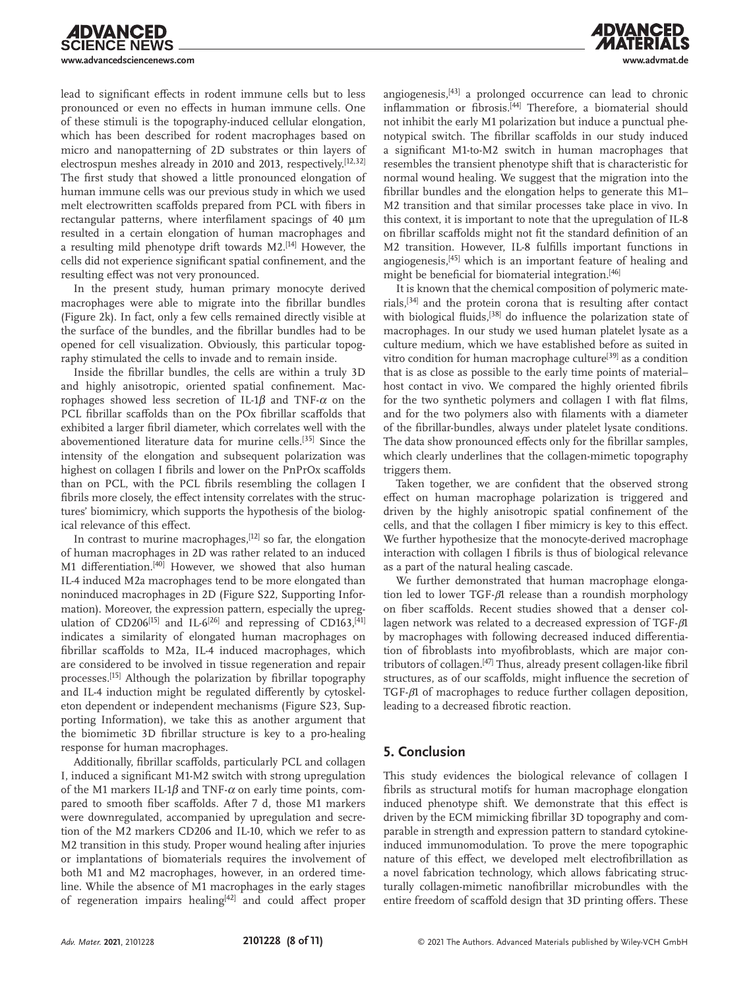lead to significant effects in rodent immune cells but to less pronounced or even no effects in human immune cells. One of these stimuli is the topography-induced cellular elongation, which has been described for rodent macrophages based on micro and nanopatterning of 2D substrates or thin layers of electrospun meshes already in 2010 and 2013, respectively.[12,32] The first study that showed a little pronounced elongation of human immune cells was our previous study in which we used melt electrowritten scaffolds prepared from PCL with fibers in rectangular patterns, where interfilament spacings of 40  $\mu$ m resulted in a certain elongation of human macrophages and a resulting mild phenotype drift towards M2.[14] However, the cells did not experience significant spatial confinement, and the resulting effect was not very pronounced.

**IDVANCED** 

**CIENCE NEWS** 

In the present study, human primary monocyte derived macrophages were able to migrate into the fibrillar bundles (Figure 2k). In fact, only a few cells remained directly visible at the surface of the bundles, and the fibrillar bundles had to be opened for cell visualization. Obviously, this particular topography stimulated the cells to invade and to remain inside.

Inside the fibrillar bundles, the cells are within a truly 3D and highly anisotropic, oriented spatial confinement. Macrophages showed less secretion of IL-1β and TNF-α on the PCL fibrillar scaffolds than on the POx fibrillar scaffolds that exhibited a larger fibril diameter, which correlates well with the abovementioned literature data for murine cells.[35] Since the intensity of the elongation and subsequent polarization was highest on collagen I fibrils and lower on the PnPrOx scaffolds than on PCL, with the PCL fibrils resembling the collagen I fibrils more closely, the effect intensity correlates with the structures' biomimicry, which supports the hypothesis of the biological relevance of this effect.

In contrast to murine macrophages,<sup>[12]</sup> so far, the elongation of human macrophages in 2D was rather related to an induced M1 differentiation.<sup>[40]</sup> However, we showed that also human IL-4 induced M2a macrophages tend to be more elongated than noninduced macrophages in 2D (Figure S22, Supporting Information). Moreover, the expression pattern, especially the upregulation of CD206<sup>[15]</sup> and IL-6<sup>[26]</sup> and repressing of CD163,<sup>[41]</sup> indicates a similarity of elongated human macrophages on fibrillar scaffolds to M2a, IL-4 induced macrophages, which are considered to be involved in tissue regeneration and repair processes.[15] Although the polarization by fibrillar topography and IL-4 induction might be regulated differently by cytoskeleton dependent or independent mechanisms (Figure S23, Supporting Information), we take this as another argument that the biomimetic 3D fibrillar structure is key to a pro-healing response for human macrophages.

Additionally, fibrillar scaffolds, particularly PCL and collagen I, induced a significant M1-M2 switch with strong upregulation of the M1 markers IL-1 $\beta$  and TNF- $\alpha$  on early time points, compared to smooth fiber scaffolds. After 7 d, those M1 markers were downregulated, accompanied by upregulation and secretion of the M2 markers CD206 and IL-10, which we refer to as M2 transition in this study. Proper wound healing after injuries or implantations of biomaterials requires the involvement of both M1 and M2 macrophages, however, in an ordered timeline. While the absence of M1 macrophages in the early stages of regeneration impairs healing<sup>[42]</sup> and could affect proper

angiogenesis,[43] a prolonged occurrence can lead to chronic inflammation or fibrosis.[44] Therefore, a biomaterial should not inhibit the early M1 polarization but induce a punctual phenotypical switch. The fibrillar scaffolds in our study induced a significant M1-to-M2 switch in human macrophages that resembles the transient phenotype shift that is characteristic for normal wound healing. We suggest that the migration into the fibrillar bundles and the elongation helps to generate this M1– M2 transition and that similar processes take place in vivo. In this context, it is important to note that the upregulation of IL-8 on fibrillar scaffolds might not fit the standard definition of an M2 transition. However, IL-8 fulfills important functions in angiogenesis,[45] which is an important feature of healing and might be beneficial for biomaterial integration.[46]

It is known that the chemical composition of polymeric materials,[34] and the protein corona that is resulting after contact with biological fluids,<sup>[38]</sup> do influence the polarization state of macrophages. In our study we used human platelet lysate as a culture medium, which we have established before as suited in vitro condition for human macrophage culture<sup>[39]</sup> as a condition that is as close as possible to the early time points of material– host contact in vivo. We compared the highly oriented fibrils for the two synthetic polymers and collagen I with flat films, and for the two polymers also with filaments with a diameter of the fibrillar-bundles, always under platelet lysate conditions. The data show pronounced effects only for the fibrillar samples, which clearly underlines that the collagen-mimetic topography triggers them.

Taken together, we are confident that the observed strong effect on human macrophage polarization is triggered and driven by the highly anisotropic spatial confinement of the cells, and that the collagen I fiber mimicry is key to this effect. We further hypothesize that the monocyte-derived macrophage interaction with collagen I fibrils is thus of biological relevance as a part of the natural healing cascade.

We further demonstrated that human macrophage elongation led to lower TGF-*β*1 release than a roundish morphology on fiber scaffolds. Recent studies showed that a denser collagen network was related to a decreased expression of TGF-*β*1 by macrophages with following decreased induced differentiation of fibroblasts into myofibroblasts, which are major contributors of collagen.[47] Thus, already present collagen-like fibril structures, as of our scaffolds, might influence the secretion of TGF-*β*1 of macrophages to reduce further collagen deposition, leading to a decreased fibrotic reaction.

# **5. Conclusion**

This study evidences the biological relevance of collagen I fibrils as structural motifs for human macrophage elongation induced phenotype shift. We demonstrate that this effect is driven by the ECM mimicking fibrillar 3D topography and comparable in strength and expression pattern to standard cytokineinduced immunomodulation. To prove the mere topographic nature of this effect, we developed melt electrofibrillation as a novel fabrication technology, which allows fabricating structurally collagen-mimetic nanofibrillar microbundles with the entire freedom of scaffold design that 3D printing offers. These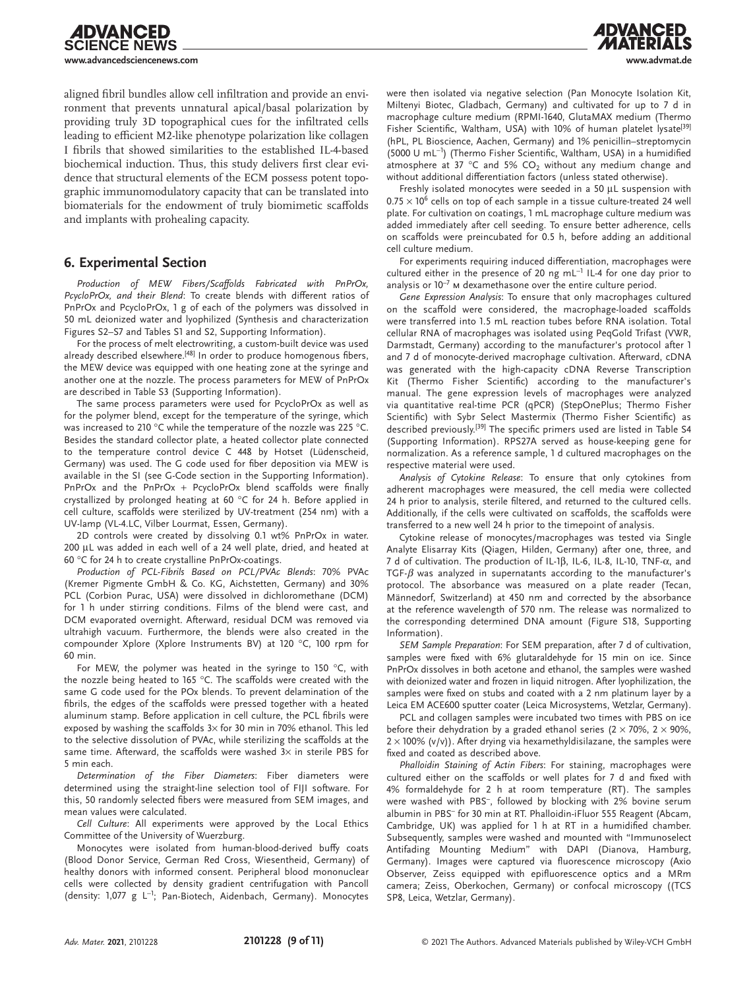aligned fibril bundles allow cell infiltration and provide an environment that prevents unnatural apical/basal polarization by providing truly 3D topographical cues for the infiltrated cells leading to efficient M2-like phenotype polarization like collagen I fibrils that showed similarities to the established IL-4-based biochemical induction. Thus, this study delivers first clear evidence that structural elements of the ECM possess potent topographic immunomodulatory capacity that can be translated into biomaterials for the endowment of truly biomimetic scaffolds and implants with prohealing capacity.

## **6. Experimental Section**

**IDVANCED ENCE NEWS** 

*Production of MEW Fibers/Scaffolds Fabricated with PnPrOx, PcycloPrOx, and their Blend*: To create blends with different ratios of PnPrOx and PcycloPrOx, 1 g of each of the polymers was dissolved in 50 mL deionized water and lyophilized (Synthesis and characterization Figures S2–S7 and Tables S1 and S2, Supporting Information).

For the process of melt electrowriting, a custom-built device was used already described elsewhere.<sup>[48]</sup> In order to produce homogenous fibers, the MEW device was equipped with one heating zone at the syringe and another one at the nozzle. The process parameters for MEW of PnPrOx are described in Table S3 (Supporting Information).

The same process parameters were used for PcycloPrOx as well as for the polymer blend, except for the temperature of the syringe, which was increased to 210 °C while the temperature of the nozzle was 225 °C. Besides the standard collector plate, a heated collector plate connected to the temperature control device C 448 by Hotset (Lüdenscheid, Germany) was used. The G code used for fiber deposition via MEW is available in the SI (see G-Code section in the Supporting Information). PnPrOx and the PnPrOx + PcycloPrOx blend scaffolds were finally crystallized by prolonged heating at 60 °C for 24 h. Before applied in cell culture, scaffolds were sterilized by UV-treatment (254 nm) with a UV-lamp (VL-4.LC, Vilber Lourmat, Essen, Germany).

2D controls were created by dissolving 0.1 wt% PnPrOx in water. 200 µL was added in each well of a 24 well plate, dried, and heated at 60 °C for 24 h to create crystalline PnPrOx-coatings.

*Production of PCL-Fibrils Based on PCL/PVAc Blends*: 70% PVAc (Kremer Pigmente GmbH & Co. KG, Aichstetten, Germany) and 30% PCL (Corbion Purac, USA) were dissolved in dichloromethane (DCM) for 1 h under stirring conditions. Films of the blend were cast, and DCM evaporated overnight. Afterward, residual DCM was removed via ultrahigh vacuum. Furthermore, the blends were also created in the compounder Xplore (Xplore Instruments BV) at 120 °C, 100 rpm for 60 min.

For MEW, the polymer was heated in the syringe to 150 °C, with the nozzle being heated to 165 °C. The scaffolds were created with the same G code used for the POx blends. To prevent delamination of the fibrils, the edges of the scaffolds were pressed together with a heated aluminum stamp. Before application in cell culture, the PCL fibrils were exposed by washing the scaffolds  $3\times$  for 30 min in 70% ethanol. This led to the selective dissolution of PVAc, while sterilizing the scaffolds at the same time. Afterward, the scaffolds were washed  $3\times$  in sterile PBS for 5 min each.

*Determination of the Fiber Diameters*: Fiber diameters were determined using the straight-line selection tool of FIJI software. For this, 50 randomly selected fibers were measured from SEM images, and mean values were calculated.

*Cell Culture*: All experiments were approved by the Local Ethics Committee of the University of Wuerzburg.

Monocytes were isolated from human-blood-derived buffy coats (Blood Donor Service, German Red Cross, Wiesentheid, Germany) of healthy donors with informed consent. Peripheral blood mononuclear cells were collected by density gradient centrifugation with Pancoll (density: 1,077 g L<sup>−</sup><sup>1</sup> ; Pan-Biotech, Aidenbach, Germany). Monocytes were then isolated via negative selection (Pan Monocyte Isolation Kit, Miltenyi Biotec, Gladbach, Germany) and cultivated for up to 7 d in macrophage culture medium (RPMI-1640, GlutaMAX medium (Thermo Fisher Scientific, Waltham, USA) with 10% of human platelet lysate<sup>[39]</sup> (hPL, PL Bioscience, Aachen, Germany) and 1% penicillin–streptomycin (5000 U mL−<sup>1</sup> ) (Thermo Fisher Scientific, Waltham, USA) in a humidified atmosphere at 37 °C and 5% CO<sub>2</sub> without any medium change and without additional differentiation factors (unless stated otherwise).

Freshly isolated monocytes were seeded in a 50 µL suspension with  $0.75 \times 10^6$  cells on top of each sample in a tissue culture-treated 24 well plate. For cultivation on coatings, 1 mL macrophage culture medium was added immediately after cell seeding. To ensure better adherence, cells on scaffolds were preincubated for 0.5 h, before adding an additional cell culture medium.

For experiments requiring induced differentiation, macrophages were cultured either in the presence of 20 ng mL<sup>-1</sup> IL-4 for one day prior to analysis or  $10^{-7}$  M dexamethasone over the entire culture period.

*Gene Expression Analysis*: To ensure that only macrophages cultured on the scaffold were considered, the macrophage-loaded scaffolds were transferred into 1.5 mL reaction tubes before RNA isolation. Total cellular RNA of macrophages was isolated using PeqGold Trifast (VWR, Darmstadt, Germany) according to the manufacturer's protocol after 1 and 7 d of monocyte-derived macrophage cultivation. Afterward, cDNA was generated with the high-capacity cDNA Reverse Transcription Kit (Thermo Fisher Scientific) according to the manufacturer's manual. The gene expression levels of macrophages were analyzed via quantitative real-time PCR (qPCR) (StepOnePlus; Thermo Fisher Scientific) with Sybr Select Mastermix (Thermo Fisher Scientific) as described previously.<sup>[39]</sup> The specific primers used are listed in Table S4 (Supporting Information). RPS27A served as house-keeping gene for normalization. As a reference sample, 1 d cultured macrophages on the respective material were used.

*Analysis of Cytokine Release*: To ensure that only cytokines from adherent macrophages were measured, the cell media were collected 24 h prior to analysis, sterile filtered, and returned to the cultured cells. Additionally, if the cells were cultivated on scaffolds, the scaffolds were transferred to a new well 24 h prior to the timepoint of analysis.

Cytokine release of monocytes/macrophages was tested via Single Analyte Elisarray Kits (Qiagen, Hilden, Germany) after one, three, and 7 d of cultivation. The production of IL-1β, IL-6, IL-8, IL-10, TNF-α, and TGF-*β* was analyzed in supernatants according to the manufacturer's protocol. The absorbance was measured on a plate reader (Tecan, Männedorf, Switzerland) at 450 nm and corrected by the absorbance at the reference wavelength of 570 nm. The release was normalized to the corresponding determined DNA amount (Figure S18, Supporting Information).

*SEM Sample Preparation*: For SEM preparation, after 7 d of cultivation, samples were fixed with 6% glutaraldehyde for 15 min on ice. Since PnPrOx dissolves in both acetone and ethanol, the samples were washed with deionized water and frozen in liquid nitrogen. After lyophilization, the samples were fixed on stubs and coated with a 2 nm platinum layer by a Leica EM ACE600 sputter coater (Leica Microsystems, Wetzlar, Germany).

PCL and collagen samples were incubated two times with PBS on ice before their dehydration by a graded ethanol series ( $2 \times 70\%$ ,  $2 \times 90\%$ ,  $2 \times 100\%$  (v/v)). After drying via hexamethyldisilazane, the samples were fixed and coated as described above.

*Phalloidin Staining of Actin Fibers*: For staining, macrophages were cultured either on the scaffolds or well plates for 7 d and fixed with 4% formaldehyde for 2 h at room temperature (RT). The samples were washed with PBS–, followed by blocking with 2% bovine serum albumin in PBS– for 30 min at RT. Phalloidin-iFluor 555 Reagent (Abcam, Cambridge, UK) was applied for 1 h at RT in a humidified chamber. Subsequently, samples were washed and mounted with "Immunoselect Antifading Mounting Medium" with DAPI (Dianova, Hamburg, Germany). Images were captured via fluorescence microscopy (Axio Observer, Zeiss equipped with epifluorescence optics and a MRm camera; Zeiss, Oberkochen, Germany) or confocal microscopy ((TCS SP8, Leica, Wetzlar, Germany).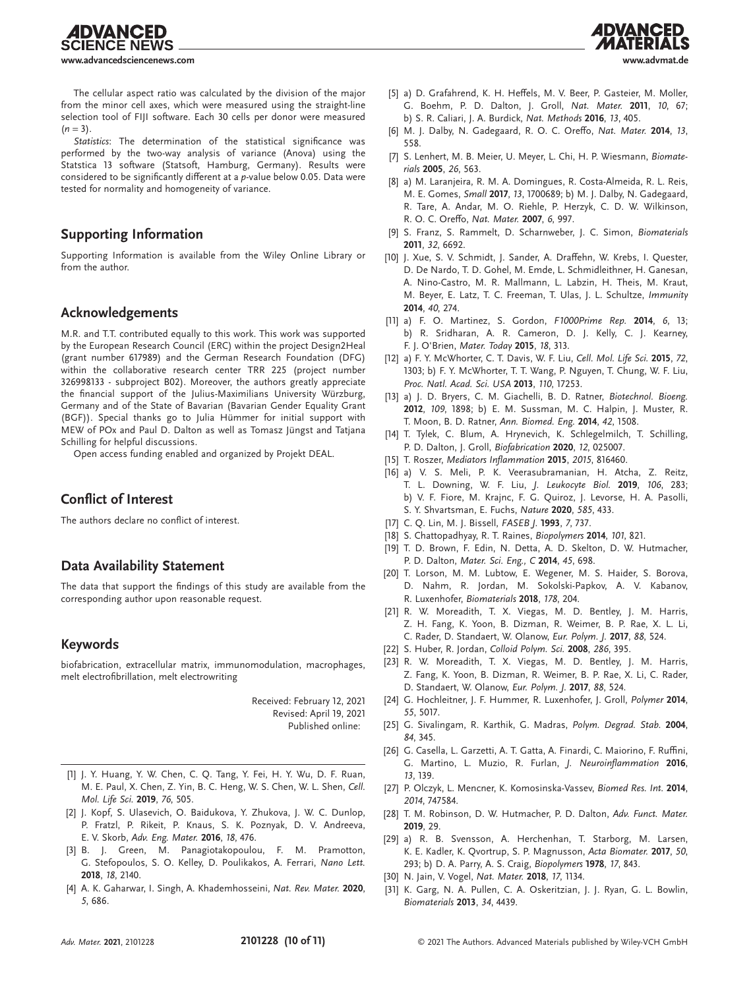**IENCE NEWS www.advancedsciencenews.com www.advmat.de**

**IDVANCED** 



The cellular aspect ratio was calculated by the division of the major from the minor cell axes, which were measured using the straight-line selection tool of FIJI software. Each 30 cells per donor were measured  $(n = 3)$ .

*Statistics*: The determination of the statistical significance was performed by the two-way analysis of variance (Anova) using the Statstica 13 software (Statsoft, Hamburg, Germany). Results were considered to be significantly different at a *p*-value below 0.05. Data were tested for normality and homogeneity of variance.

## **Supporting Information**

Supporting Information is available from the Wiley Online Library or from the author.

#### **Acknowledgements**

M.R. and T.T. contributed equally to this work. This work was supported by the European Research Council (ERC) within the project Design2Heal (grant number 617989) and the German Research Foundation (DFG) within the collaborative research center TRR 225 (project number 326998133 - subproject B02). Moreover, the authors greatly appreciate the financial support of the Julius-Maximilians University Würzburg, Germany and of the State of Bavarian (Bavarian Gender Equality Grant (BGF)). Special thanks go to Julia Hümmer for initial support with MEW of POx and Paul D. Dalton as well as Tomasz Jüngst and Tatjana Schilling for helpful discussions.

Open access funding enabled and organized by Projekt DEAL.

#### **Conflict of Interest**

The authors declare no conflict of interest.

# **Data Availability Statement**

The data that support the findings of this study are available from the corresponding author upon reasonable request.

#### **Keywords**

biofabrication, extracellular matrix, immunomodulation, macrophages, melt electrofibrillation, melt electrowriting

> Received: February 12, 2021 Revised: April 19, 2021 Published online:

- [1] J. Y. Huang, Y. W. Chen, C. Q. Tang, Y. Fei, H. Y. Wu, D. F. Ruan, M. E. Paul, X. Chen, Z. Yin, B. C. Heng, W. S. Chen, W. L. Shen, *Cell. Mol. Life Sci.* **2019**, *76*, 505.
- [2] J. Kopf, S. Ulasevich, O. Baidukova, Y. Zhukova, J. W. C. Dunlop, P. Fratzl, P. Rikeit, P. Knaus, S. K. Poznyak, D. V. Andreeva, E. V. Skorb, *Adv. Eng. Mater.* **2016**, *18*, 476.
- [3] B. J. Green, M. Panagiotakopoulou, F. M. Pramotton, G. Stefopoulos, S. O. Kelley, D. Poulikakos, A. Ferrari, *Nano Lett.* **2018**, *18*, 2140.
- [4] A. K. Gaharwar, I. Singh, A. Khademhosseini, *Nat. Rev. Mater.* **2020**, *5*, 686.
- [5] a) D. Grafahrend, K. H. Heffels, M. V. Beer, P. Gasteier, M. Moller, G. Boehm, P. D. Dalton, J. Groll, *Nat. Mater.* **2011**, *10*, 67; b) S. R. Caliari, J. A. Burdick, *Nat. Methods* **2016**, *13*, 405.
- [6] M. J. Dalby, N. Gadegaard, R. O. C. Oreffo, *Nat. Mater.* **2014**, *13*, 558.
- [7] S. Lenhert, M. B. Meier, U. Meyer, L. Chi, H. P. Wiesmann, *Biomaterials* **2005**, *26*, 563.
- [8] a) M. Laranjeira, R. M. A. Domingues, R. Costa-Almeida, R. L. Reis, M. E. Gomes, *Small* **2017**, *13*, 1700689; b) M. J. Dalby, N. Gadegaard, R. Tare, A. Andar, M. O. Riehle, P. Herzyk, C. D. W. Wilkinson, R. O. C. Oreffo, *Nat. Mater.* **2007**, *6*, 997.
- [9] S. Franz, S. Rammelt, D. Scharnweber, J. C. Simon, *Biomaterials* **2011**, *32*, 6692.
- [10] J. Xue, S. V. Schmidt, J. Sander, A. Draffehn, W. Krebs, J. Quester, D. De Nardo, T. D. Gohel, M. Emde, L. Schmidleithner, H. Ganesan, A. Nino-Castro, M. R. Mallmann, L. Labzin, H. Theis, M. Kraut, M. Beyer, E. Latz, T. C. Freeman, T. Ulas, J. L. Schultze, *Immunity* **2014**, *40*, 274.
- [11] a) F. O. Martinez, S. Gordon, *F1000Prime Rep.* **2014**, *6*, 13; b) R. Sridharan, A. R. Cameron, D. J. Kelly, C. J. Kearney, F. J. O'Brien, *Mater. Today* **2015**, *18*, 313.
- [12] a) F. Y. McWhorter, C. T. Davis, W. F. Liu, *Cell. Mol. Life Sci.* **2015**, *72*, 1303; b) F. Y. McWhorter, T. T. Wang, P. Nguyen, T. Chung, W. F. Liu, *Proc. Natl. Acad. Sci. USA* **2013**, *110*, 17253.
- [13] a) J. D. Bryers, C. M. Giachelli, B. D. Ratner, *Biotechnol. Bioeng.* **2012**, *109*, 1898; b) E. M. Sussman, M. C. Halpin, J. Muster, R. T. Moon, B. D. Ratner, *Ann. Biomed. Eng.* **2014**, *42*, 1508.
- [14] T. Tylek, C. Blum, A. Hrynevich, K. Schlegelmilch, T. Schilling, P. D. Dalton, J. Groll, *Biofabrication* **2020**, *12*, 025007.
- [15] T. Roszer, *Mediators Inflammation* **2015**, *2015*, 816460.
- [16] a) V. S. Meli, P. K. Veerasubramanian, H. Atcha, Z. Reitz, T. L. Downing, W. F. Liu, *J. Leukocyte Biol.* **2019**, *106*, 283; b) V. F. Fiore, M. Krajnc, F. G. Quiroz, J. Levorse, H. A. Pasolli, S. Y. Shvartsman, E. Fuchs, *Nature* **2020**, *585*, 433.
- [17] C. Q. Lin, M. J. Bissell, *FASEB J.* **1993**, *7*, 737.
- [18] S. Chattopadhyay, R. T. Raines, *Biopolymers* **2014**, *101*, 821.
- [19] T. D. Brown, F. Edin, N. Detta, A. D. Skelton, D. W. Hutmacher, P. D. Dalton, *Mater. Sci. Eng., C* **2014**, *45*, 698.
- [20] T. Lorson, M. M. Lubtow, E. Wegener, M. S. Haider, S. Borova, D. Nahm, R. Jordan, M. Sokolski-Papkov, A. V. Kabanov, R. Luxenhofer, *Biomaterials* **2018**, *178*, 204.
- [21] R. W. Moreadith, T. X. Viegas, M. D. Bentley, J. M. Harris, Z. H. Fang, K. Yoon, B. Dizman, R. Weimer, B. P. Rae, X. L. Li, C. Rader, D. Standaert, W. Olanow, *Eur. Polym. J.* **2017**, *88*, 524.
- [22] S. Huber, R. Jordan, *Colloid Polym. Sci.* **2008**, *286*, 395.
- [23] R. W. Moreadith, T. X. Viegas, M. D. Bentley, J. M. Harris, Z. Fang, K. Yoon, B. Dizman, R. Weimer, B. P. Rae, X. Li, C. Rader, D. Standaert, W. Olanow, *Eur. Polym. J.* **2017**, *88*, 524.
- [24] G. Hochleitner, J. F. Hummer, R. Luxenhofer, J. Groll, *Polymer* **2014**, *55*, 5017.
- [25] G. Sivalingam, R. Karthik, G. Madras, *Polym. Degrad. Stab.* **2004**, *84*, 345.
- [26] G. Casella, L. Garzetti, A. T. Gatta, A. Finardi, C. Maiorino, F. Ruffini, G. Martino, L. Muzio, R. Furlan, *J. Neuroinflammation* **2016**, *13*, 139.
- [27] P. Olczyk, L. Mencner, K. Komosinska-Vassev, *Biomed Res. Int.* **2014**, *2014*, 747584.
- [28] T. M. Robinson, D. W. Hutmacher, P. D. Dalton, *Adv. Funct. Mater.* **2019**, 29.
- [29] a) R. B. Svensson, A. Herchenhan, T. Starborg, M. Larsen, K. E. Kadler, K. Qvortrup, S. P. Magnusson, *Acta Biomater.* **2017**, *50*, 293; b) D. A. Parry, A. S. Craig, *Biopolymers* **1978**, *17*, 843.
- [30] N. Jain, V. Vogel, *Nat. Mater.* **2018**, *17*, 1134.
- [31] K. Garg, N. A. Pullen, C. A. Oskeritzian, J. J. Ryan, G. L. Bowlin, *Biomaterials* **2013**, *34*, 4439.